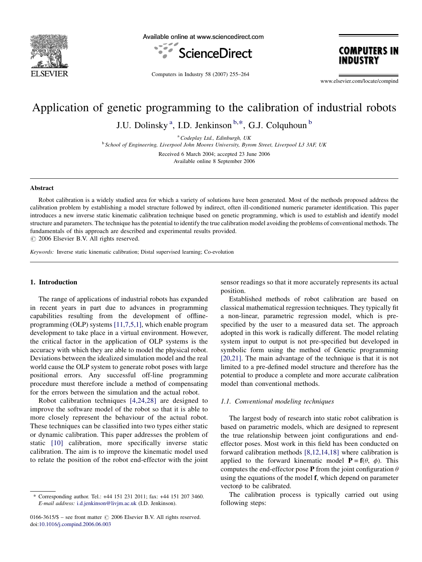

Available online at www.sciencedirect.com





Computers in Industry 58 (2007) 255–264

www.elsevier.com/locate/compind

# Application of genetic programming to the calibration of industrial robots

J.U. Dolinsky<sup>a</sup>, I.D. Jenkinson  $b.*$ , G.J. Colquhoun  $b$ 

 $a^a$ Codeplay Ltd., Edinburgh, UK <sup>b</sup> School of Engineering, Liverpool John Moores University, Byrom Street, Liverpool L3 3AF, UK Received 6 March 2004; accepted 23 June 2006 Available online 8 September 2006

#### Abstract

Robot calibration is a widely studied area for which a variety of solutions have been generated. Most of the methods proposed address the calibration problem by establishing a model structure followed by indirect, often ill-conditioned numeric parameter identification. This paper introduces a new inverse static kinematic calibration technique based on genetic programming, which is used to establish and identify model structure and parameters. The technique has the potential to identify the true calibration model avoiding the problems of conventional methods. The fundamentals of this approach are described and experimental results provided.

 $\odot$  2006 Elsevier B.V. All rights reserved.

Keywords: Inverse static kinematic calibration; Distal supervised learning; Co-evolution

#### 1. Introduction

The range of applications of industrial robots has expanded in recent years in part due to advances in programming capabilities resulting from the development of offlineprogramming (OLP) systems [\[11,7,5,1\],](#page--1-0) which enable program development to take place in a virtual environment. However, the critical factor in the application of OLP systems is the accuracy with which they are able to model the physical robot. Deviations between the idealized simulation model and the real world cause the OLP system to generate robot poses with large positional errors. Any successful off-line programming procedure must therefore include a method of compensating for the errors between the simulation and the actual robot.

Robot calibration techniques [\[4,24,28\]](#page--1-0) are designed to improve the software model of the robot so that it is able to more closely represent the behaviour of the actual robot. These techniques can be classified into two types either static or dynamic calibration. This paper addresses the problem of static [\[10\]](#page--1-0) calibration, more specifically inverse static calibration. The aim is to improve the kinematic model used to relate the position of the robot end-effector with the joint

sensor readings so that it more accurately represents its actual position.

Established methods of robot calibration are based on classical mathematical regression techniques. They typically fit a non-linear, parametric regression model, which is prespecified by the user to a measured data set. The approach adopted in this work is radically different. The model relating system input to output is not pre-specified but developed in symbolic form using the method of Genetic programming [\[20,21\].](#page--1-0) The main advantage of the technique is that it is not limited to a pre-defined model structure and therefore has the potential to produce a complete and more accurate calibration model than conventional methods.

#### 1.1. Conventional modeling techniques

The largest body of research into static robot calibration is based on parametric models, which are designed to represent the true relationship between joint configurations and endeffector poses. Most work in this field has been conducted on forward calibration methods [\[8,12,14,18\]](#page--1-0) where calibration is applied to the forward kinematic model  $\mathbf{P} = \mathbf{f}(\theta, \phi)$ . This computes the end-effector pose P from the joint configuration  $\theta$ using the equations of the model f, which depend on parameter vector $\phi$  to be calibrated.

The calibration process is typically carried out using following steps:

Corresponding author. Tel.: +44 151 231 2011; fax: +44 151 207 3460. E-mail address: [i.d.jenkinson@livjm.ac.uk](mailto:i.d.jenkinson@livjm.ac.uk) (I.D. Jenkinson).

<sup>0166-3615/\$ –</sup> see front matter  $\odot$  2006 Elsevier B.V. All rights reserved. doi:[10.1016/j.compind.2006.06.003](http://dx.doi.org/10.1016/j.compind.2006.06.003)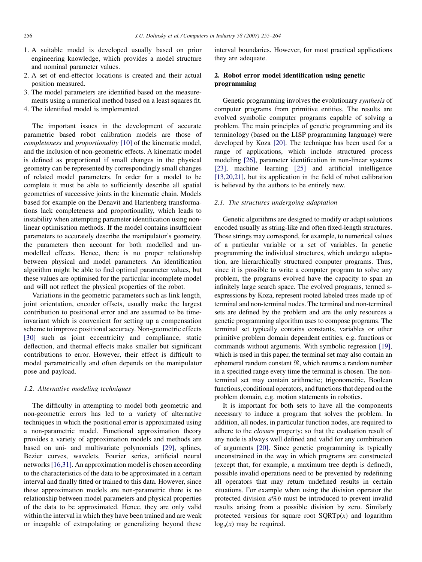- 1. A suitable model is developed usually based on prior engineering knowledge, which provides a model structure and nominal parameter values.
- 2. A set of end-effector locations is created and their actual position measured.
- 3. The model parameters are identified based on the measurements using a numerical method based on a least squares fit.
- 4. The identified model is implemented.

The important issues in the development of accurate parametric based robot calibration models are those of completeness and proportionality [\[10\]](#page--1-0) of the kinematic model, and the inclusion of non-geometric effects. A kinematic model is defined as proportional if small changes in the physical geometry can be represented by correspondingly small changes of related model parameters. In order for a model to be complete it must be able to sufficiently describe all spatial geometries of successive joints in the kinematic chain. Models based for example on the Denavit and Hartenberg transformations lack completeness and proportionality, which leads to instability when attempting parameter identification using nonlinear optimisation methods. If the model contains insufficient parameters to accurately describe the manipulator's geometry, the parameters then account for both modelled and unmodelled effects. Hence, there is no proper relationship between physical and model parameters. An identification algorithm might be able to find optimal parameter values, but these values are optimised for the particular incomplete model and will not reflect the physical properties of the robot.

Variations in the geometric parameters such as link length, joint orientation, encoder offsets, usually make the largest contribution to positional error and are assumed to be timeinvariant which is convenient for setting up a compensation scheme to improve positional accuracy. Non-geometric effects [\[30\]](#page--1-0) such as joint eccentricity and compliance, static deflection, and thermal effects make smaller but significant contributions to error. However, their effect is difficult to model parametrically and often depends on the manipulator pose and payload.

#### 1.2. Alternative modeling techniques

The difficulty in attempting to model both geometric and non-geometric errors has led to a variety of alternative techniques in which the positional error is approximated using a non-parametric model. Functional approximation theory provides a variety of approximation models and methods are based on uni- and multivariate polynomials [\[29\]](#page--1-0), splines, Bezier curves, wavelets, Fourier series, artificial neural networks [\[16,31\]](#page--1-0). An approximation model is chosen according to the characteristics of the data to be approximated in a certain interval and finally fitted or trained to this data. However, since these approximation models are non-parametric there is no relationship between model parameters and physical properties of the data to be approximated. Hence, they are only valid within the interval in which they have been trained and are weak or incapable of extrapolating or generalizing beyond these interval boundaries. However, for most practical applications they are adequate.

### 2. Robot error model identification using genetic programming

Genetic programming involves the evolutionary synthesis of computer programs from primitive entities. The results are evolved symbolic computer programs capable of solving a problem. The main principles of genetic programming and its terminology (based on the LISP programming language) were developed by Koza [\[20\].](#page--1-0) The technique has been used for a range of applications, which include structured process modeling [\[26\],](#page--1-0) parameter identification in non-linear systems [\[23\]](#page--1-0), machine learning [\[25\]](#page--1-0) and artificial intelligence [\[13,20,21\]](#page--1-0), but its application in the field of robot calibration is believed by the authors to be entirely new.

#### 2.1. The structures undergoing adaptation

Genetic algorithms are designed to modify or adapt solutions encoded usually as string-like and often fixed-length structures. Those strings may correspond, for example, to numerical values of a particular variable or a set of variables. In genetic programming the individual structures, which undergo adaptation, are hierarchically structured computer programs. Thus, since it is possible to write a computer program to solve any problem, the programs evolved have the capacity to span an infinitely large search space. The evolved programs, termed sexpressions by Koza, represent rooted labeled trees made up of terminal and non-terminal nodes. The terminal and non-terminal sets are defined by the problem and are the only resources a genetic programming algorithm uses to compose programs. The terminal set typically contains constants, variables or other primitive problem domain dependent entities, e.g. functions or commands without arguments. With symbolic regression [\[19\]](#page--1-0), which is used in this paper, the terminal set may also contain an ephemeral random constant  $\Re$ , which returns a random number in a specified range every time the terminal is chosen. The nonterminal set may contain arithmetic; trigonometric, Boolean functions, conditional operators, and functions that depend onthe problem domain, e.g. motion statements in robotics.

It is important for both sets to have all the components necessary to induce a program that solves the problem. In addition, all nodes, in particular function nodes, are required to adhere to the closure property; so that the evaluation result of any node is always well defined and valid for any combination of arguments [\[20\]](#page--1-0). Since genetic programming is typically unconstrained in the way in which programs are constructed (except that, for example, a maximum tree depth is defined), possible invalid operations need to be prevented by redefining all operators that may return undefined results in certain situations. For example when using the division operator the protected division  $a\%b$  must be introduced to prevent invalid results arising from a possible division by zero. Similarly protected versions for square root  $SQRTp(x)$  and logarithm  $log<sub>n</sub>(x)$  may be required.